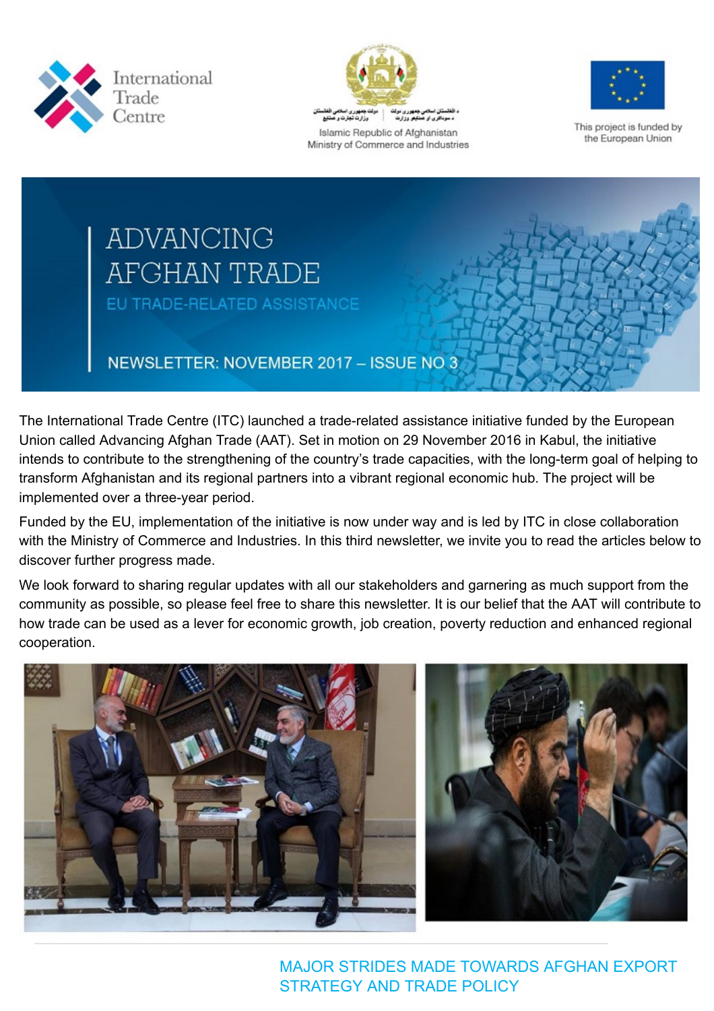



Islamic Republic of Afghanistan Ministry of Commerce and Industries



This project is funded by the European Union

# **ADVANCING AFGHAN TRADE** EU TRADE-RELATED ASSISTANCE

# NEWSLETTER: NOVEMBER 2017 - ISSUE NO 3

The International Trade Centre (ITC) launched a trade-related assistance initiative funded by the European Union called Advancing Afghan Trade (AAT). Set in motion on 29 November 2016 in Kabul, the initiative intends to contribute to the strengthening of the country's trade capacities, with the long-term goal of helping to transform Afghanistan and its regional partners into a vibrant regional economic hub. The project will be implemented over a three-year period.

Funded by the EU, implementation of the initiative is now under way and is led by ITC in close collaboration with the Ministry of Commerce and Industries. In this third newsletter, we invite you to read the articles below to discover further progress made.

We look forward to sharing regular updates with all our stakeholders and garnering as much support from the community as possible, so please feel free to share this newsletter. It is our belief that the AAT will contribute to how trade can be used as a lever for economic growth, job creation, poverty reduction and enhanced regional cooperation.



MAJOR STRIDES MADE TOWARDS AFGHAN EXPORT STRATEGY AND TRADE POLICY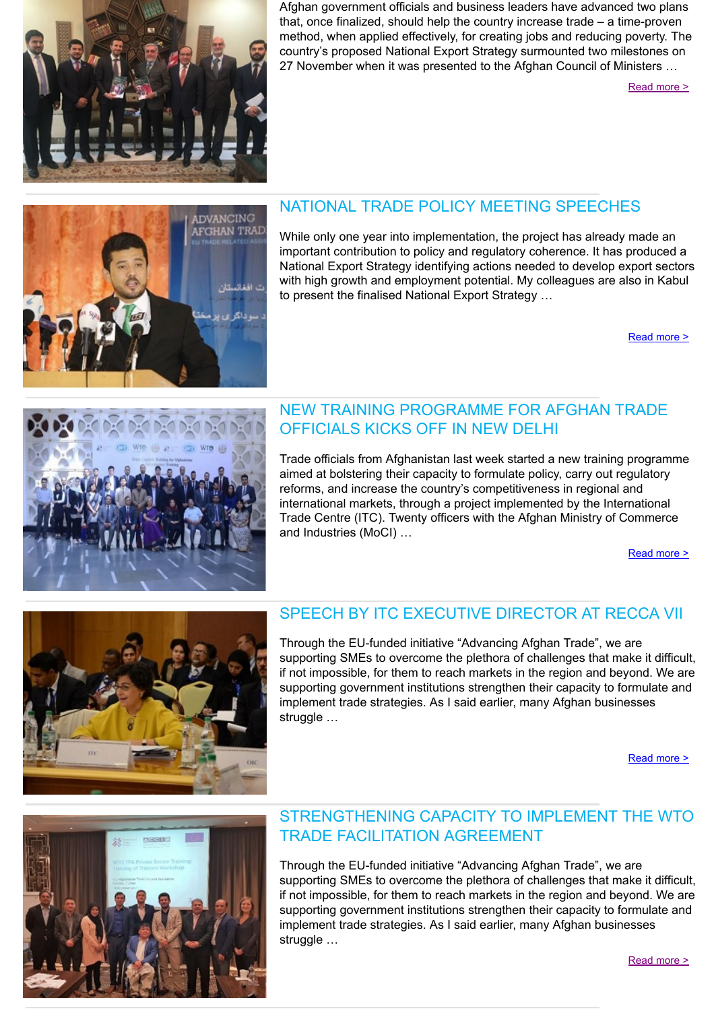

Afghan government officials and business leaders have advanced two plans that, once finalized, should help the country increase trade – a time-proven method, when applied effectively, for creating jobs and reducing poverty. The country's proposed National Export Strategy surmounted two milestones on 27 November when it was presented to the Afghan Council of Ministers …

[Read more >](http://www.intracen.org/Major-strides-made-towards-Afghan-export-strategy-and-trade-policy/)



#### NATIONAL TRADE POLICY MEETING SPEECHES

While only one year into implementation, the project has already made an important contribution to policy and regulatory coherence. It has produced a National Export Strategy identifying actions needed to develop export sectors with high growth and employment potential. My colleagues are also in Kabul to present the finalised National Export Strategy …

[Read more >](http://www.intracen.org/uploadedFiles/intracenorg/Content/Redesign/Projects/AAT/SPEECHES_NATIONAL_TRADE_POLICY.pdf)



#### NEW TRAINING PROGRAMME FOR AFGHAN TRADE OFFICIALS KICKS OFF IN NEW DELHI

Trade officials from Afghanistan last week started a new training programme aimed at bolstering their capacity to formulate policy, carry out regulatory reforms, and increase the country's competitiveness in regional and international markets, through a project implemented by the International Trade Centre (ITC). Twenty officers with the Afghan Ministry of Commerce and Industries (MoCI) …

[Read more >](http://www.intracen.org/news/New-training-programme-for-Afghan-trade-officials-kicks-off-in-New-Delhi/)



#### SPEECH BY ITC EXECUTIVE DIRECTOR AT RECCA VII

Through the EU-funded initiative "Advancing Afghan Trade", we are supporting SMEs to overcome the plethora of challenges that make it difficult, if not impossible, for them to reach markets in the region and beyond. We are supporting government institutions strengthen their capacity to formulate and implement trade strategies. As I said earlier, many Afghan businesses struggle ...

[Read more >](http://www.intracen.org/news/Speech-by-ITC-Executive-Director-at-Regional-Economic-Cooperation-Conference-on-Afganistan-Recca-VII/)



#### STRENGTHENING CAPACITY TO IMPLEMENT THE WTO TRADE FACILITATION AGREEMENT

Through the EU-funded initiative "Advancing Afghan Trade", we are supporting SMEs to overcome the plethora of challenges that make it difficult, if not impossible, for them to reach markets in the region and beyond. We are supporting government institutions strengthen their capacity to formulate and implement trade strategies. As I said earlier, many Afghan businesses struggle …